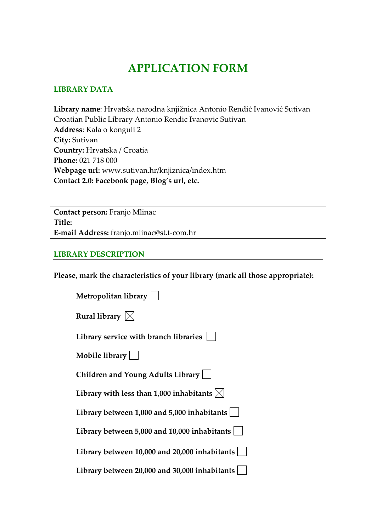# **APPLICATION FORM**

#### **LIBRARY DATA**

**Library name**: Hrvatska narodna knjižnica Antonio Rendić Ivanović Sutivan Croatian Public Library Antonio Rendic Ivanovic Sutivan **Address**: Kala o konguli 2 **City:** Sutivan **Country:** Hrvatska / Croatia **Phone:** 021 718 000 **Webpage url:** www.sutivan.hr/knjiznica/index.htm **Contact 2.0: Facebook page, Blog's url, etc.**

**Contact person:** Franjo Mlinac **Title: E‐mail Address:** franjo.mlinac@st.t‐com.hr

#### **LIBRARY DESCRIPTION**

**Please, mark the characteristics of your library (mark all those appropriate):**

| Metropolitan library                                          |
|---------------------------------------------------------------|
| Rural library $\boxtimes$                                     |
| Library service with branch libraries                         |
| Mobile library                                                |
| Children and Young Adults Library                             |
| Library with less than 1,000 inhabitants $\vert \times \vert$ |
| Library between 1,000 and 5,000 inhabitants                   |
| Library between 5,000 and 10,000 inhabitants                  |
| Library between 10,000 and 20,000 inhabitants                 |
| Library between 20,000 and 30,000 inhabitants                 |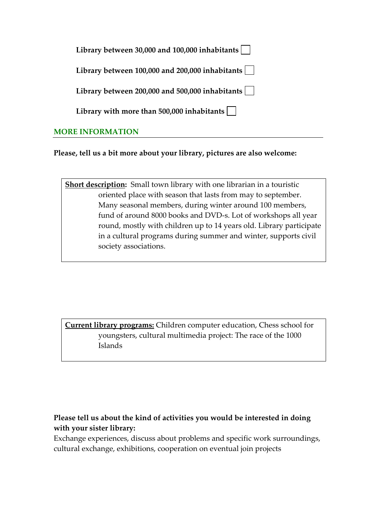| Library between 30,000 and 100,000 inhabitants $\vert \ \ \vert$      |
|-----------------------------------------------------------------------|
| Library between $100,000$ and $200,000$ inhabitants $\vert \ \ \vert$ |
| Library between 200,000 and 500,000 inhabitants $\vert$               |
| Library with more than 500,000 inhabitants $\vert \ \ \vert$          |
|                                                                       |

#### **MORE INFORMATION**

**Please, tell us a bit more about your library, pictures are also welcome:** 

**Short description:** Small town library with one librarian in a touristic oriented place with season that lasts from may to september. Many seasonal members, during winter around 100 members, fund of around 8000 books and DVD‐s. Lot of workshops all year round, mostly with children up to 14 years old. Library participate in a cultural programs during summer and winter, supports civil society associations.

**Current library programs:** Children computer education, Chess school for youngsters, cultural multimedia project: The race of the 1000 Islands

#### **Please tell us about the kind of activities you would be interested in doing with your sister library:**

Exchange experiences, discuss about problems and specific work surroundings, cultural exchange, exhibitions, cooperation on eventual join projects